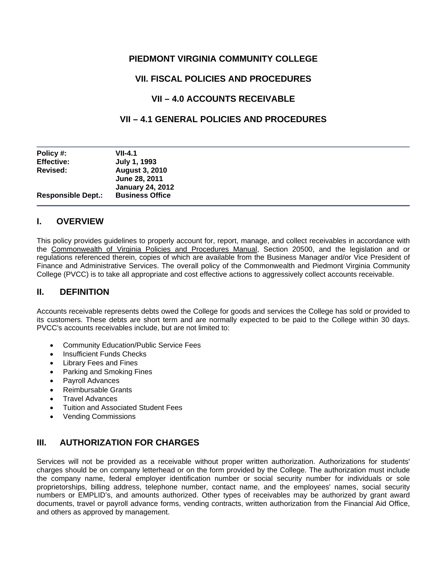# **PIEDMONT VIRGINIA COMMUNITY COLLEGE**

# **VII. FISCAL POLICIES AND PROCEDURES**

# **VII – 4.0 ACCOUNTS RECEIVABLE**

# **VII – 4.1 GENERAL POLICIES AND PROCEDURES**

| Policy #:                 | <b>VII-4.1</b>                         |
|---------------------------|----------------------------------------|
| <b>Effective:</b>         | July 1, 1993                           |
| Revised:                  | <b>August 3, 2010</b><br>June 28, 2011 |
|                           | <b>January 24, 2012</b>                |
| <b>Responsible Dept.:</b> | <b>Business Office</b>                 |

## **I. OVERVIEW**

This policy provides guidelines to properly account for, report, manage, and collect receivables in accordance with the Commonwealth of Virginia Policies and Procedures Manual, Section 20500, and the legislation and or regulations referenced therein, copies of which are available from the Business Manager and/or Vice President of Finance and Administrative Services. The overall policy of the Commonwealth and Piedmont Virginia Community College (PVCC) is to take all appropriate and cost effective actions to aggressively collect accounts receivable.

## **II. DEFINITION**

Accounts receivable represents debts owed the College for goods and services the College has sold or provided to its customers. These debts are short term and are normally expected to be paid to the College within 30 days. PVCC's accounts receivables include, but are not limited to:

- Community Education/Public Service Fees
- Insufficient Funds Checks
- Library Fees and Fines
- Parking and Smoking Fines
- Payroll Advances
- Reimbursable Grants
- Travel Advances
- Tuition and Associated Student Fees
- Vending Commissions

# **III. AUTHORIZATION FOR CHARGES**

Services will not be provided as a receivable without proper written authorization. Authorizations for students' charges should be on company letterhead or on the form provided by the College. The authorization must include the company name, federal employer identification number or social security number for individuals or sole proprietorships, billing address, telephone number, contact name, and the employees' names, social security numbers or EMPLID's, and amounts authorized. Other types of receivables may be authorized by grant award documents, travel or payroll advance forms, vending contracts, written authorization from the Financial Aid Office, and others as approved by management.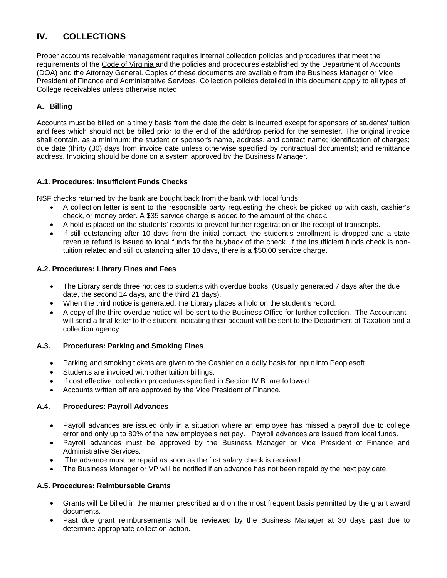# **IV. COLLECTIONS**

Proper accounts receivable management requires internal collection policies and procedures that meet the requirements of the Code of Virginia and the policies and procedures established by the Department of Accounts (DOA) and the Attorney General. Copies of these documents are available from the Business Manager or Vice President of Finance and Administrative Services. Collection policies detailed in this document apply to all types of College receivables unless otherwise noted.

## **A. Billing**

Accounts must be billed on a timely basis from the date the debt is incurred except for sponsors of students' tuition and fees which should not be billed prior to the end of the add/drop period for the semester. The original invoice shall contain, as a minimum: the student or sponsor's name, address, and contact name; identification of charges; due date (thirty (30) days from invoice date unless otherwise specified by contractual documents); and remittance address. Invoicing should be done on a system approved by the Business Manager.

## **A.1. Procedures: Insufficient Funds Checks**

NSF checks returned by the bank are bought back from the bank with local funds.

- A collection letter is sent to the responsible party requesting the check be picked up with cash, cashier's check, or money order. A \$35 service charge is added to the amount of the check.
- A hold is placed on the students' records to prevent further registration or the receipt of transcripts.
- tuition related and still outstanding after 10 days, there is a \$50.00 service charge. If still outstanding after 10 days from the initial contact, the student's enrollment is dropped and a state revenue refund is issued to local funds for the buyback of the check. If the insufficient funds check is non-

#### **A.2. Procedures: Library Fines and Fees**

- The Library sends three notices to students with overdue books. (Usually generated 7 days after the due date, the second 14 days, and the third 21 days).
- When the third notice is generated, the Library places a hold on the student's record.
- collection agency. A copy of the third overdue notice will be sent to the Business Office for further collection. The Accountant will send a final letter to the student indicating their account will be sent to the Department of Taxation and a

#### **A.3. Procedures: Parking and Smoking Fines**

- Parking and smoking tickets are given to the Cashier on a daily basis for input into Peoplesoft.
- Students are invoiced with other tuition billings.
- If cost effective, collection procedures specified in Section IV.B. are followed.
- Accounts written off are approved by the Vice President of Finance.

#### **A.4. Procedures: Payroll Advances**

- Payroll advances are issued only in a situation where an employee has missed a payroll due to college error and only up to 80% of the new employee's net pay. Payroll advances are issued from local funds.
- Payroll advances must be approved by the Business Manager or Vice President of Finance and Administrative Services.
- The advance must be repaid as soon as the first salary check is received.
- The Business Manager or VP will be notified if an advance has not been repaid by the next pay date.

#### **A.5. Procedures: Reimbursable Grants**

- Grants will be billed in the manner prescribed and on the most frequent basis permitted by the grant award documents.
- Past due grant reimbursements will be reviewed by the Business Manager at 30 days past due to determine appropriate collection action.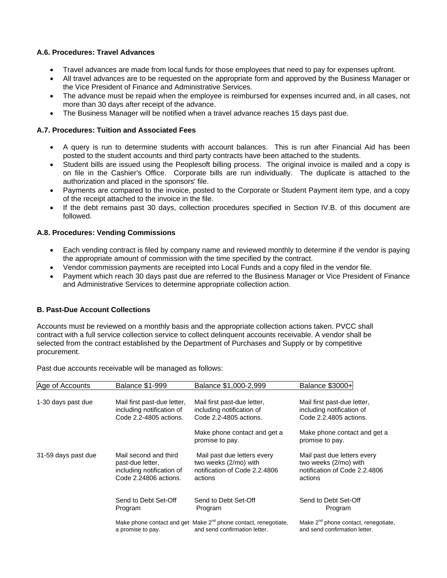#### **A.6. Procedures: Travel Advances**

- Travel advances are made from local funds for those employees that need to pay for expenses upfront.
- All travel advances are to be requested on the appropriate form and approved by the Business Manager or the Vice President of Finance and Administrative Services.
- The advance must be repaid when the employee is reimbursed for expenses incurred and, in all cases, not more than 30 days after receipt of the advance.
- The Business Manager will be notified when a travel advance reaches 15 days past due.

#### **A.7. Procedures: Tuition and Associated Fees**

- A query is run to determine students with account balances. This is run after Financial Aid has been posted to the student accounts and third party contracts have been attached to the students.
- Student bills are issued using the Peoplesoft billing process. The original invoice is mailed and a copy is on file in the Cashier's Office. Corporate bills are run individually. The duplicate is attached to the authorization and placed in the sponsors' file.
- Payments are compared to the invoice, posted to the Corporate or Student Payment item type, and a copy of the receipt attached to the invoice in the file.
- If the debt remains past 30 days, collection procedures specified in Section IV.B. of this document are followed.

#### **A.8. Procedures: Vending Commissions**

- Each vending contract is filed by company name and reviewed monthly to determine if the vendor is paying the appropriate amount of commission with the time specified by the contract.
- Vendor commission payments are receipted into Local Funds and a copy filed in the vendor file.
- Payment which reach 30 days past due are referred to the Business Manager or Vice President of Finance and Administrative Services to determine appropriate collection action.

#### **B. Past-Due Account Collections**

Accounts must be reviewed on a monthly basis and the appropriate collection actions taken. PVCC shall contract with a full service collection service to collect delinquent accounts receivable. A vendor shall be selected from the contract established by the Department of Purchases and Supply or by competitive procurement.

Past due accounts receivable will be managed as follows:

| Age of Accounts     | <b>Balance \$1-999</b>                                                                          | Balance \$1,000-2,999                                                                                        | Balance \$3000+                                                                                  |
|---------------------|-------------------------------------------------------------------------------------------------|--------------------------------------------------------------------------------------------------------------|--------------------------------------------------------------------------------------------------|
| 1-30 days past due  | Mail first past-due letter,<br>including notification of<br>Code 2.2-4805 actions.              | Mail first past-due letter,<br>including notification of<br>Code 2.2-4805 actions.                           | Mail first past-due letter,<br>including notification of<br>Code 2.2.4805 actions.               |
|                     |                                                                                                 | Make phone contact and get a<br>promise to pay.                                                              | Make phone contact and get a<br>promise to pay.                                                  |
| 31-59 days past due | Mail second and third<br>past-due letter,<br>including notification of<br>Code 2.24806 actions. | Mail past due letters every<br>two weeks (2/mo) with<br>notification of Code 2.2.4806<br>actions             | Mail past due letters every<br>two weeks (2/mo) with<br>notification of Code 2.2.4806<br>actions |
|                     | Send to Debt Set-Off<br>Program                                                                 | Send to Debt Set-Off<br>Program                                                                              | Send to Debt Set-Off<br>Program                                                                  |
|                     | a promise to pay.                                                                               | Make phone contact and get Make 2 <sup>nd</sup> phone contact, renegotiate,<br>and send confirmation letter. | Make 2 <sup>nd</sup> phone contact, renegotiate,<br>and send confirmation letter.                |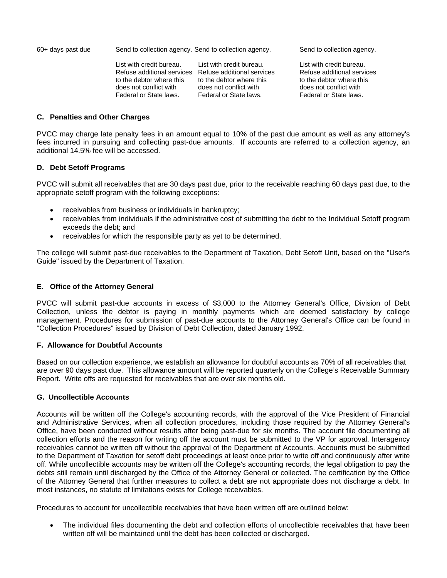60+ days past due Send to collection agency. Send to collection agency. Send to collection agency.

List with credit bureau. List with credit bureau.<br>
Refuse additional services Refuse additional services Refuse additional services Refuse additional services Refuse additional services Refuse additional services<br>to the debtor where this to the debtor where this to the debtor where this to the debtor where this to the debtor where this<br>does not conflict with does not conflict with Federal or State laws. Federal or State laws. Federal or State laws.

does not conflict with does not conflict with does not conflict with

#### **C. Penalties and Other Charges**

PVCC may charge late penalty fees in an amount equal to 10% of the past due amount as well as any attorney's fees incurred in pursuing and collecting past-due amounts. If accounts are referred to a collection agency, an additional 14.5% fee will be accessed.

#### **D. Debt Setoff Programs**

 PVCC will submit all receivables that are 30 days past due, prior to the receivable reaching 60 days past due, to the appropriate setoff program with the following exceptions:

- receivables from business or individuals in bankruptcy;
- receivables from individuals if the administrative cost of submitting the debt to the Individual Setoff program exceeds the debt; and
- receivables for which the responsible party as yet to be determined.

The college will submit past-due receivables to the Department of Taxation, Debt Setoff Unit, based on the "User's Guide" issued by the Department of Taxation.

#### **E. Office of the Attorney General**

PVCC will submit past-due accounts in excess of \$3,000 to the Attorney General's Office, Division of Debt Collection, unless the debtor is paying in monthly payments which are deemed satisfactory by college management. Procedures for submission of past-due accounts to the Attorney General's Office can be found in "Collection Procedures" issued by Division of Debt Collection, dated January 1992.

#### **F. Allowance for Doubtful Accounts**

Based on our collection experience, we establish an allowance for doubtful accounts as 70% of all receivables that are over 90 days past due. This allowance amount will be reported quarterly on the College's Receivable Summary Report. Write offs are requested for receivables that are over six months old.

#### **G. Uncollectible Accounts**

Accounts will be written off the College's accounting records, with the approval of the Vice President of Financial and Administrative Services, when all collection procedures, including those required by the Attorney General's Office, have been conducted without results after being past-due for six months. The account file documenting all collection efforts and the reason for writing off the account must be submitted to the VP for approval. Interagency receivables cannot be written off without the approval of the Department of Accounts. Accounts must be submitted to the Department of Taxation for setoff debt proceedings at least once prior to write off and continuously after write off. While uncollectible accounts may be written off the College's accounting records, the legal obligation to pay the debts still remain until discharged by the Office of the Attorney General or collected. The certification by the Office of the Attorney General that further measures to collect a debt are not appropriate does not discharge a debt. In most instances, no statute of limitations exists for College receivables.

Procedures to account for uncollectible receivables that have been written off are outlined below:

• The individual files documenting the debt and collection efforts of uncollectible receivables that have been written off will be maintained until the debt has been collected or discharged.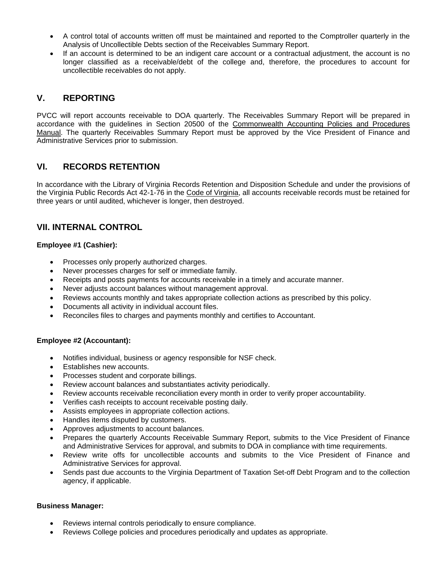- A control total of accounts written off must be maintained and reported to the Comptroller quarterly in the Analysis of Uncollectible Debts section of the Receivables Summary Report.
- If an account is determined to be an indigent care account or a contractual adjustment, the account is no longer classified as a receivable/debt of the college and, therefore, the procedures to account for uncollectible receivables do not apply.

# **V. REPORTING**

PVCC will report accounts receivable to DOA quarterly. The Receivables Summary Report will be prepared in accordance with the guidelines in Section 20500 of the Commonwealth Accounting Policies and Procedures Manual. The quarterly Receivables Summary Report must be approved by the Vice President of Finance and Administrative Services prior to submission.

# **VI. RECORDS RETENTION**

In accordance with the Library of Virginia Records Retention and Disposition Schedule and under the provisions of the Virginia Public Records Act 42-1-76 in the Code of Virginia, all accounts receivable records must be retained for three years or until audited, whichever is longer, then destroyed.

# **VII. INTERNAL CONTROL**

## **Employee #1 (Cashier):**

- Processes only properly authorized charges.
- Never processes charges for self or immediate family.
- Receipts and posts payments for accounts receivable in a timely and accurate manner.
- Never adjusts account balances without management approval.
- Reviews accounts monthly and takes appropriate collection actions as prescribed by this policy.
- Documents all activity in individual account files.
- Reconciles files to charges and payments monthly and certifies to Accountant.

#### **Employee #2 (Accountant):**

- Notifies individual, business or agency responsible for NSF check.
- Establishes new accounts.
- Processes student and corporate billings.
- Review account balances and substantiates activity periodically.
- Review accounts receivable reconciliation every month in order to verify proper accountability.
- Verifies cash receipts to account receivable posting daily.
- Assists employees in appropriate collection actions.
- Handles items disputed by customers.
- Approves adjustments to account balances.
- Prepares the quarterly Accounts Receivable Summary Report, submits to the Vice President of Finance and Administrative Services for approval, and submits to DOA in compliance with time requirements.
- Review write offs for uncollectible accounts and submits to the Vice President of Finance and Administrative Services for approval.
- Sends past due accounts to the Virginia Department of Taxation Set-off Debt Program and to the collection agency, if applicable.

#### **Business Manager:**

- Reviews internal controls periodically to ensure compliance.
- Reviews College policies and procedures periodically and updates as appropriate.